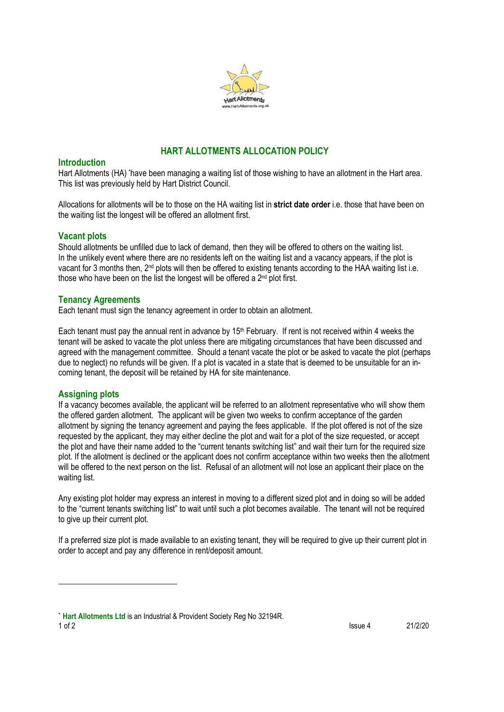

# **HART ALLOTMENTS ALLOCATION POLICY**

#### **Introduction**

Hart Allotments (HA) \*have been managing a waiting list of those wishing to have an allotment in the Hart area. This list was previously held by Hart District Council.

Allocations for allotments will be to those on the HA waiting list in **strict date order** i.e. those that have been on the waiting list the longest will be offered an allotment first.

### **Vacant plots**

Should allotments be unfilled due to lack of demand, then they will be offered to others on the waiting list. In the unlikely event where there are no residents left on the waiting list and a vacancy appears, if the plot is vacant for 3 months then, 2<sup>nd</sup> plots will then be offered to existing tenants according to the HAA waiting list i.e. those who have been on the list the longest will be offered a 2<sup>nd</sup> plot first.

# **Tenancy Agreements**

Each tenant must sign the tenancy agreement in order to obtain an allotment.

Each tenant must pay the annual rent in advance by 15<sup>th</sup> February. If rent is not received within 4 weeks the tenant will be asked to vacate the plot unless there are mitigating circumstances that have been discussed and agreed with the management committee. Should a tenant vacate the plot or be asked to vacate the plot (perhaps due to neglect) no refunds will be given. If a plot is vacated in a state that is deemed to be unsuitable for an incoming tenant, the deposit will be retained by HA for site maintenance.

#### **Assigning plots**

If a vacancy becomes available, the applicant will be referred to an allotment representative who will show them the offered garden allotment. The applicant will be given two weeks to confirm acceptance of the garden allotment by signing the tenancy agreement and paying the fees applicable. If the plot offered is not of the size requested by the applicant, they may either decline the plot and wait for a plot of the size requested, or accept the plot and have their name added to the "current tenants switching list" and wait their turn for the required size plot. If the allotment is declined or the applicant does not confirm acceptance within two weeks then the allotment will be offered to the next person on the list. Refusal of an allotment will not lose an applicant their place on the waiting list.

Any existing plot holder may express an interest in moving to a different sized plot and in doing so will be added to the "current tenants switching list" to wait until such a plot becomes available. The tenant will not be required to give up their current plot.

If a preferred size plot is made available to an existing tenant, they will be required to give up their current plot in order to accept and pay any difference in rent/deposit amount.

1 of 2 21/2/20 \* **Hart Allotments Ltd** is an Industrial & Provident Society Reg No 32194R.